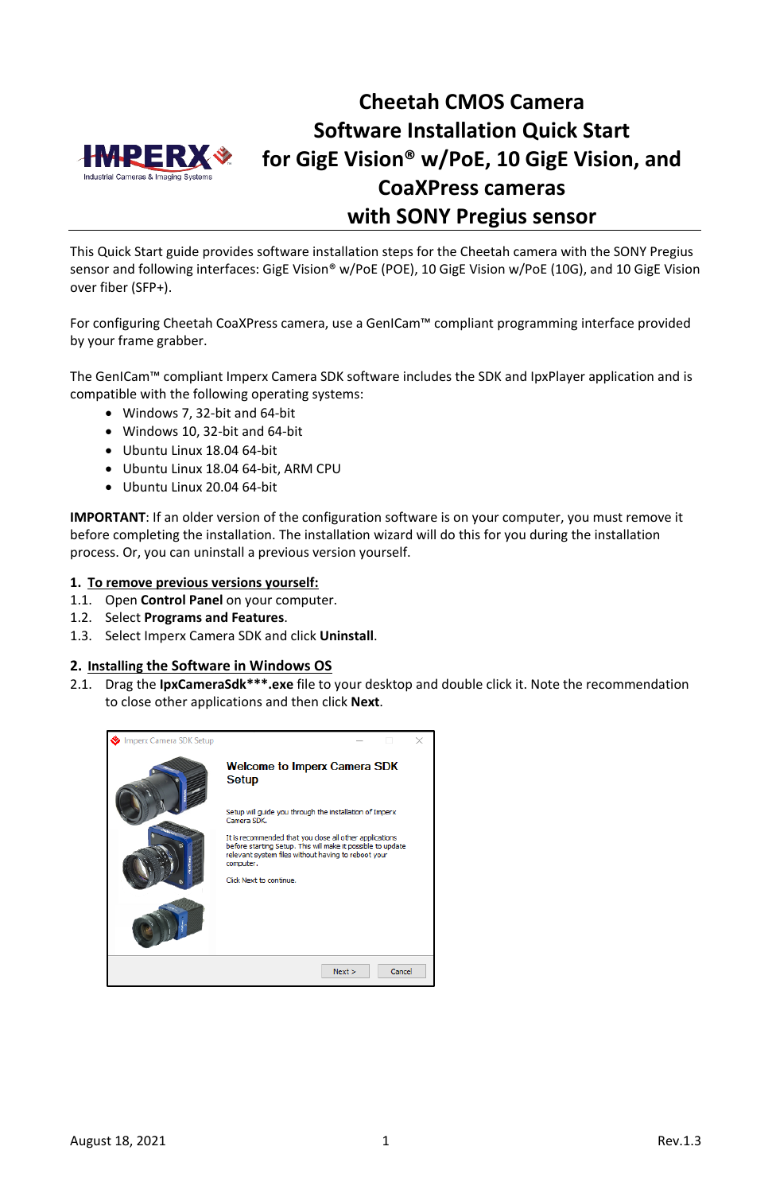

# **Cheetah CMOS Camera Software Installation Quick Start for GigE Vision® w/PoE, 10 GigE Vision, and CoaXPress cameras with SONY Pregius sensor**

This Quick Start guide provides software installation steps for the Cheetah camera with the SONY Pregius sensor and following interfaces: GigE Vision® w/PoE (POE), 10 GigE Vision w/PoE (10G), and 10 GigE Vision over fiber (SFP+).

For configuring Cheetah CoaXPress camera, use a GenICam™ compliant programming interface provided by your frame grabber.

The GenICam™ compliant Imperx Camera SDK software includes the SDK and IpxPlayer application and is compatible with the following operating systems:

- Windows 7, 32-bit and 64-bit
- Windows 10, 32-bit and 64-bit
- Ubuntu Linux 18.04 64-bit
- Ubuntu Linux 18.04 64-bit, ARM CPU
- Ubuntu Linux 20.04 64-bit

**IMPORTANT**: If an older version of the configuration software is on your computer, you must remove it before completing the installation. The installation wizard will do this for you during the installation process. Or, you can uninstall a previous version yourself.

#### **1. To remove previous versions yourself:**

- 1.1. Open **Control Panel** on your computer.
- 1.2. Select **Programs and Features**.
- 1.3. Select Imperx Camera SDK and click **Uninstall**.

#### **2. Installing the Software in Windows OS**

2.1. Drag the **IpxCameraSdk\*\*\*.exe** file to your desktop and double click it. Note the recommendation to close other applications and then click **Next**.

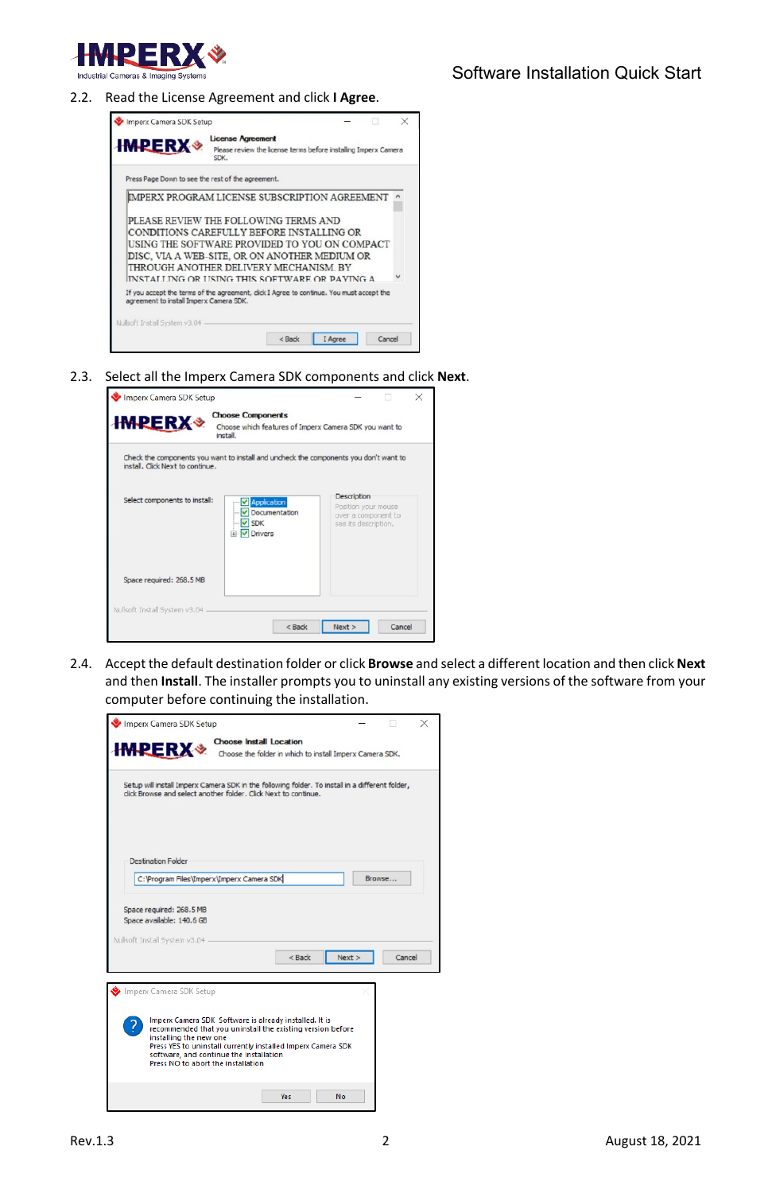

2.2. Read the License Agreement and click **I Agree**.



2.3. Select all the Imperx Camera SDK components and click **Next**.

| <b>HMPERX *</b>                  | <b>Choose Components</b><br>Choose which features of Imperx Camera SDK you want to<br>install. |                                                                                   |
|----------------------------------|------------------------------------------------------------------------------------------------|-----------------------------------------------------------------------------------|
| install. Click Next to continue. | Check the components you want to install and uncheck the components you don't want to          |                                                                                   |
| Select components to install:    | <b>Application</b><br>Documentation<br>$\triangledown$ SDK<br>iii-V Drivers                    | Description<br>Position your mouse<br>over a component to<br>see its description. |
| Space required: 268.5 MB         |                                                                                                |                                                                                   |
| Nullsoft Install System v3.04    |                                                                                                |                                                                                   |

2.4. Accept the default destination folder or click **Browse** and select a different location and then click **Next** and then **Install**. The installer prompts you to uninstall any existing versions of the software from your computer before continuing the installation.

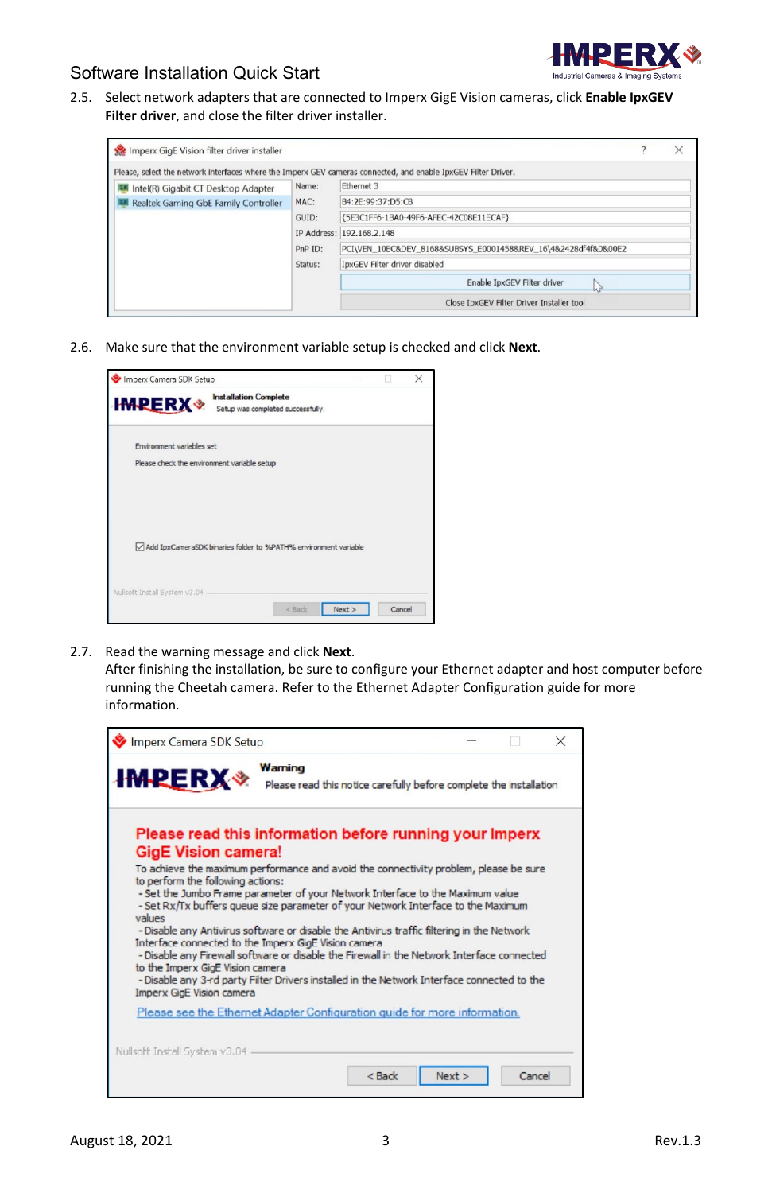

2.5. Select network adapters that are connected to Imperx GigE Vision cameras, click **Enable IpxGEV Filter driver**, and close the filter driver installer.

| Imperx GigE Vision filter driver installer |         |                                                                                                                | $\times$ |
|--------------------------------------------|---------|----------------------------------------------------------------------------------------------------------------|----------|
|                                            |         | Please, select the network interfaces where the Imperx GEV cameras connected, and enable IpxGEV Filter Driver. |          |
| Intel(R) Gigabit CT Desktop Adapter        | Name:   | Ethernet 3                                                                                                     |          |
| Realtek Gaming GbE Family Controller       | MAC:    | B4:2E:99:37:D5:CB                                                                                              |          |
|                                            | GUID:   | {5E3C1FF6-1BA0-49F6-AFEC-42C08E11ECAF}                                                                         |          |
|                                            |         | IP Address: 192.168.2.148                                                                                      |          |
|                                            | PnP ID: | PCI\VEN 10EC&DEV 8168&SUBSYS E0001458&REV 16\4&2428df4f&0&00E2                                                 |          |
|                                            | Status: | IpxGEV Filter driver disabled                                                                                  |          |
|                                            |         | Enable IpxGEV Filter driver<br>hì                                                                              |          |
|                                            |         | Close IpxGEV Filter Driver Installer tool                                                                      |          |

2.6. Make sure that the environment variable setup is checked and click **Next**.

|                                                                                    |        | X |
|------------------------------------------------------------------------------------|--------|---|
| <b>Installation Complete</b><br><b>HMPERX</b><br>Setup was completed successfully. |        |   |
| Environment variables set                                                          |        |   |
| Please check the environment variable setup                                        |        |   |
|                                                                                    |        |   |
|                                                                                    |        |   |
|                                                                                    |        |   |
| Add IpxCameraSDK binaries folder to %PATH% environment variable                    |        |   |
|                                                                                    |        |   |
| Nullsoft Install System v3.04 -                                                    |        |   |
| $<$ Back<br>Next                                                                   | Cancel |   |

2.7. Read the warning message and click **Next**.

After finishing the installation, be sure to configure your Ethernet adapter and host computer before running the Cheetah camera. Refer to the Ethernet Adapter Configuration guide for more information.

| Imperx Camera SDK Setup                                                                                                                                                                                                                                                                                                                                                                                                                                                                                                                                                                                                                                                                                                                |                                                                    |      |        |
|----------------------------------------------------------------------------------------------------------------------------------------------------------------------------------------------------------------------------------------------------------------------------------------------------------------------------------------------------------------------------------------------------------------------------------------------------------------------------------------------------------------------------------------------------------------------------------------------------------------------------------------------------------------------------------------------------------------------------------------|--------------------------------------------------------------------|------|--------|
| Warning<br><b>IMPERX</b>                                                                                                                                                                                                                                                                                                                                                                                                                                                                                                                                                                                                                                                                                                               | Please read this notice carefully before complete the installation |      |        |
| Please read this information before running your Imperx<br><b>GigE Vision camera!</b>                                                                                                                                                                                                                                                                                                                                                                                                                                                                                                                                                                                                                                                  |                                                                    |      |        |
| To achieve the maximum performance and avoid the connectivity problem, please be sure<br>to perform the following actions:<br>- Set the Jumbo Frame parameter of your Network Interface to the Maximum value<br>- Set Rx/Tx buffers queue size parameter of your Network Interface to the Maximum<br>values<br>- Disable any Antivirus software or disable the Antivirus traffic filtering in the Network<br>Interface connected to the Imperx GigE Vision camera<br>- Disable any Firewall software or disable the Firewall in the Network Interface connected<br>to the Imperx GigE Vision camera<br>- Disable any 3-rd party Filter Drivers installed in the Network Interface connected to the<br><b>Imperx GigE Vision camera</b> |                                                                    |      |        |
| Please see the Ethernet Adapter Configuration guide for more information.                                                                                                                                                                                                                                                                                                                                                                                                                                                                                                                                                                                                                                                              |                                                                    |      |        |
| Nullsoft Install System v3.04                                                                                                                                                                                                                                                                                                                                                                                                                                                                                                                                                                                                                                                                                                          |                                                                    |      |        |
|                                                                                                                                                                                                                                                                                                                                                                                                                                                                                                                                                                                                                                                                                                                                        | $<$ Back                                                           | Next | Cancel |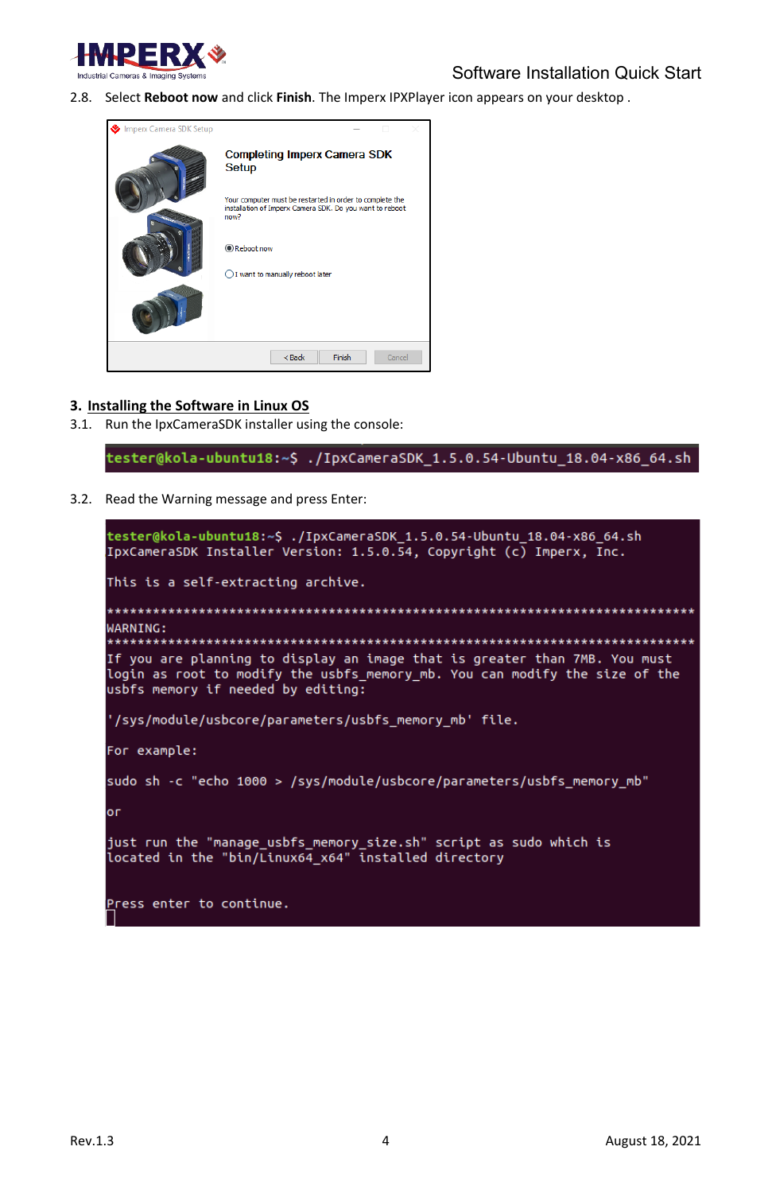

2.8. Select **Reboot now** and click **Finish**. The Imperx IPXPlayer icon appears on your desktop .



### **3. Installing the Software in Linux OS**

3.1. Run the IpxCameraSDK installer using the console:

tester@kola-ubuntu18:~\$ ./IpxCameraSDK\_1.5.0.54-Ubuntu\_18.04-x86\_64.sh

3.2. Read the Warning message and press Enter:

| tester@kola-ubuntu18:~\$ ./IpxCameraSDK 1.5.0.54-Ubuntu 18.04-x86 64.sh<br>IpxCameraSDK Installer Version: 1.5.0.54, Copyright (c) Imperx, Inc.                                                 |
|-------------------------------------------------------------------------------------------------------------------------------------------------------------------------------------------------|
| This is a self-extracting archive.                                                                                                                                                              |
| WARNING:                                                                                                                                                                                        |
| If you are planning to display an image that is greater than 7MB. You must<br>login as root to modify the usbfs memory mb. You can modify the size of the<br>usbfs memory if needed by editing: |
| '/sys/module/usbcore/parameters/usbfs memory mb' file.                                                                                                                                          |
| For example:                                                                                                                                                                                    |
| sudo sh -c "echo 1000 > /sys/module/usbcore/parameters/usbfs memory mb"                                                                                                                         |
| оr                                                                                                                                                                                              |
| just run the "manage usbfs memory size.sh" script as sudo which is<br>located in the "bin/Linux64 x64" installed directory                                                                      |
| Press enter to continue.                                                                                                                                                                        |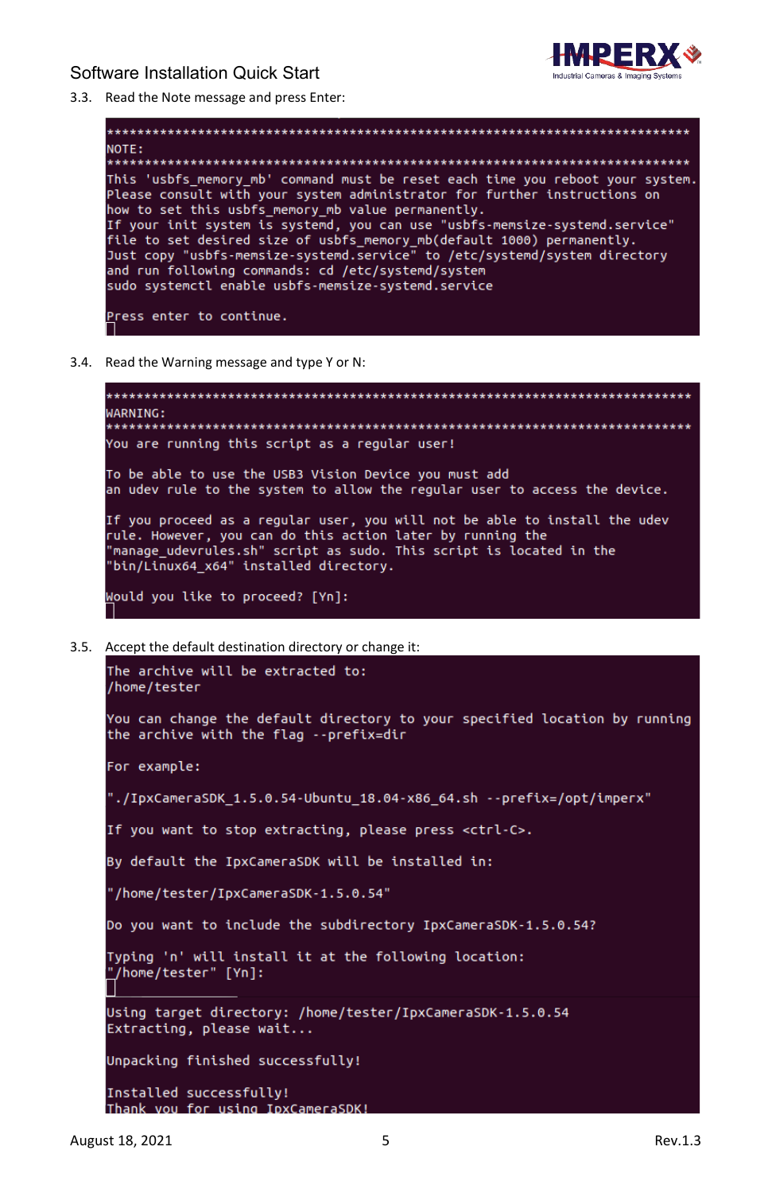

3.3. Read the Note message and press Enter:



3.4. Read the Warning message and type Y or N:

```
WARNING:
You are running this script as a regular user!
To be able to use the USB3 Vision Device you must add
an udev rule to the system to allow the reqular user to access the device.
If you proceed as a regular user, you will not be able to install the udev
rule. However, you can do this action later by running the
"manage_udevrules.sh" script as sudo. This script is located in the
"bin/Linux64_x64" installed directory.
Would you like to proceed? [Yn]:
```
3.5. Accept the default destination directory or change it:

```
The archive will be extracted to:
/home/tester
You can change the default directory to your specified location by running
the archive with the flag --prefix=dir
For example:
"./IpxCameraSDK_1.5.0.54-Ubuntu_18.04-x86_64.sh --prefix=/opt/imperx."
If you want to stop extracting, please press <ctrl-C>.
By default the IpxCameraSDK will be installed in:
"/home/tester/IpxCameraSDK-1.5.0.54"
Do you want to include the subdirectory IpxCameraSDK-1.5.0.54?
Typing 'n' will install it at the following location:
"/home/tester" [Yn]:
Using target directory: /home/tester/IpxCameraSDK-1.5.0.54
Extracting, please wait...
Unpacking finished successfully!
Installed successfully!
Thank you for using IpxCameraSDK!
```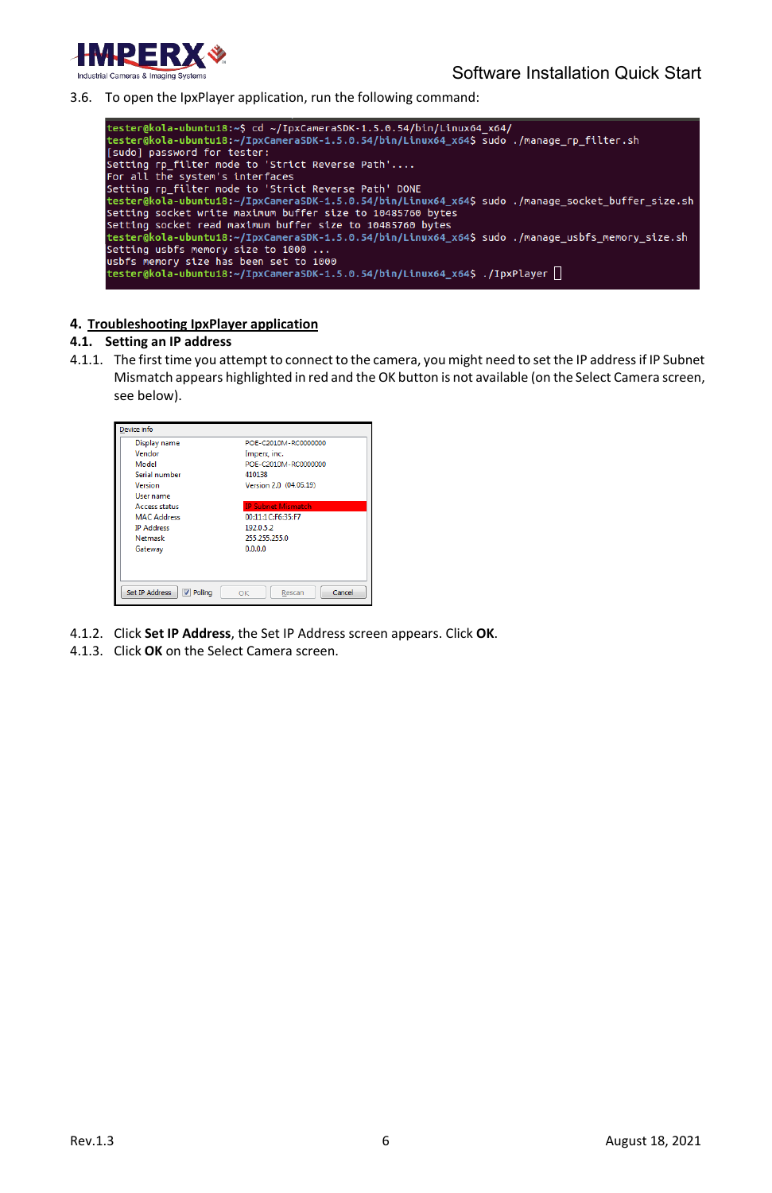

3.6. To open the IpxPlayer application, run the following command:



### **4. Troubleshooting IpxPlayer application**

#### **4.1. Setting an IP address**

4.1.1. The first time you attempt to connect to the camera, you might need to set the IP address if IP Subnet Mismatch appears highlighted in red and the OK button is not available (on the Select Camera screen, see below).

| Vendor<br>Model      | Imperx, inc.<br>POE-C2010M-RC0000000 |
|----------------------|--------------------------------------|
|                      |                                      |
|                      |                                      |
| Serial number        | 410138                               |
| Version              | Version 2.0 (04.05.19)               |
| User name            |                                      |
| <b>Access status</b> | <b>IP Subnet Mismatch</b>            |
| <b>MAC Address</b>   | 00:11:1C:F6:35:F7                    |
| <b>IP Address</b>    | 192.0.5.2                            |
| Netmask              | 255.255.255.0                        |
| Gateway              | 0.0.0.0                              |

- 4.1.2. Click **Set IP Address**, the Set IP Address screen appears. Click **OK**.
- 4.1.3. Click **OK** on the Select Camera screen.